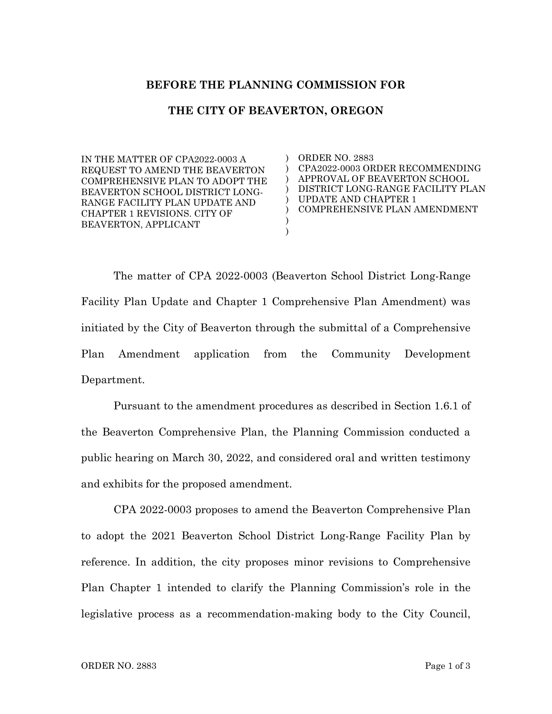## **BEFORE THE PLANNING COMMISSION FOR**

## **THE CITY OF BEAVERTON, OREGON**

) )  $\lambda$ ) ) ) ) )

IN THE MATTER OF CPA2022-0003 A REQUEST TO AMEND THE BEAVERTON COMPREHENSIVE PLAN TO ADOPT THE BEAVERTON SCHOOL DISTRICT LONG-RANGE FACILITY PLAN UPDATE AND CHAPTER 1 REVISIONS. CITY OF BEAVERTON, APPLICANT

ORDER NO. 2883 CPA2022-0003 ORDER RECOMMENDING APPROVAL OF BEAVERTON SCHOOL DISTRICT LONG-RANGE FACILITY PLAN UPDATE AND CHAPTER 1 COMPREHENSIVE PLAN AMENDMENT

The matter of CPA 2022-0003 (Beaverton School District Long-Range Facility Plan Update and Chapter 1 Comprehensive Plan Amendment) was initiated by the City of Beaverton through the submittal of a Comprehensive Plan Amendment application from the Community Development Department.

Pursuant to the amendment procedures as described in Section 1.6.1 of the Beaverton Comprehensive Plan, the Planning Commission conducted a public hearing on March 30, 2022, and considered oral and written testimony and exhibits for the proposed amendment.

CPA 2022-0003 proposes to amend the Beaverton Comprehensive Plan to adopt the 2021 Beaverton School District Long-Range Facility Plan by reference. In addition, the city proposes minor revisions to Comprehensive Plan Chapter 1 intended to clarify the Planning Commission's role in the legislative process as a recommendation-making body to the City Council,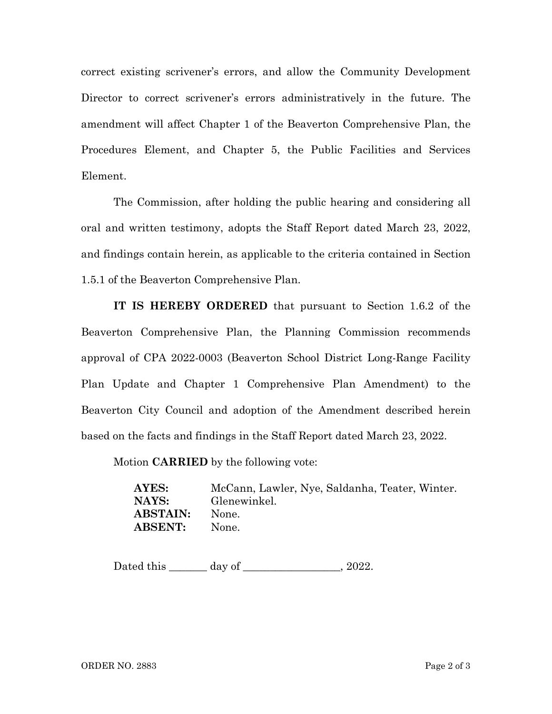correct existing scrivener's errors, and allow the Community Development Director to correct scrivener's errors administratively in the future. The amendment will affect Chapter 1 of the Beaverton Comprehensive Plan, the Procedures Element, and Chapter 5, the Public Facilities and Services Element.

The Commission, after holding the public hearing and considering all oral and written testimony, adopts the Staff Report dated March 23, 2022, and findings contain herein, as applicable to the criteria contained in Section 1.5.1 of the Beaverton Comprehensive Plan.

**IT IS HEREBY ORDERED** that pursuant to Section 1.6.2 of the Beaverton Comprehensive Plan, the Planning Commission recommends approval of CPA 2022-0003 (Beaverton School District Long-Range Facility Plan Update and Chapter 1 Comprehensive Plan Amendment) to the Beaverton City Council and adoption of the Amendment described herein based on the facts and findings in the Staff Report dated March 23, 2022.

Motion **CARRIED** by the following vote:

**AYES:** McCann, Lawler, Nye, Saldanha, Teater, Winter. **NAYS:** Glenewinkel. **ABSTAIN:** None. **ABSENT:** None.

Dated this \_\_\_\_\_\_\_ day of \_\_\_\_\_\_\_\_\_\_\_\_\_\_\_, 2022.